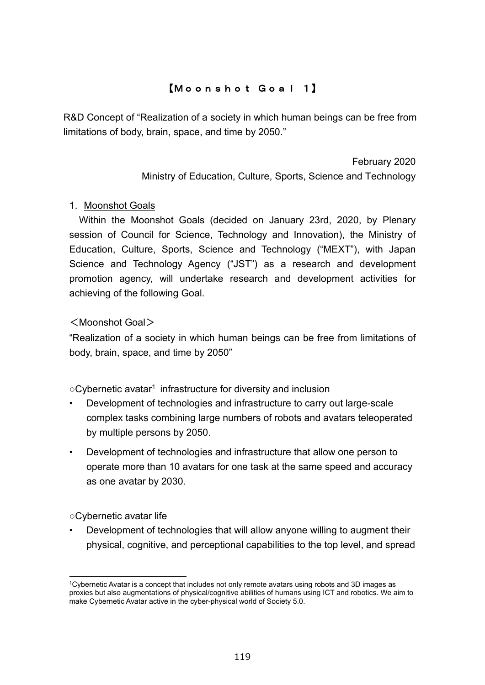# 【Moonshot Goal 1】

R&D Concept of "Realization of a society in which human beings can be free from limitations of body, brain, space, and time by 2050."

> February 2020 Ministry of Education, Culture, Sports, Science and Technology

## 1. Moonshot Goals

Within the Moonshot Goals (decided on January 23rd, 2020, by Plenary session of Council for Science, Technology and Innovation), the Ministry of Education, Culture, Sports, Science and Technology ("MEXT"), with Japan Science and Technology Agency ("JST") as a research and development promotion agency, will undertake research and development activities for achieving of the following Goal.

## <Moonshot Goal>

"Realization of a society in which human beings can be free from limitations of body, brain, space, and time by 2050"

○Cybernetic avatar<sup>1</sup> infrastructure for diversity and inclusion

- Development of technologies and infrastructure to carry out large-scale complex tasks combining large numbers of robots and avatars teleoperated by multiple persons by 2050.
- Development of technologies and infrastructure that allow one person to operate more than 10 avatars for one task at the same speed and accuracy as one avatar by 2030.

○Cybernetic avatar life

• Development of technologies that will allow anyone willing to augment their physical, cognitive, and perceptional capabilities to the top level, and spread

<sup>1</sup>Cybernetic Avatar is a concept that includes not only remote avatars using robots and 3D images as proxies but also augmentations of physical/cognitive abilities of humans using ICT and robotics. We aim to make Cybernetic Avatar active in the cyber-physical world of Society 5.0.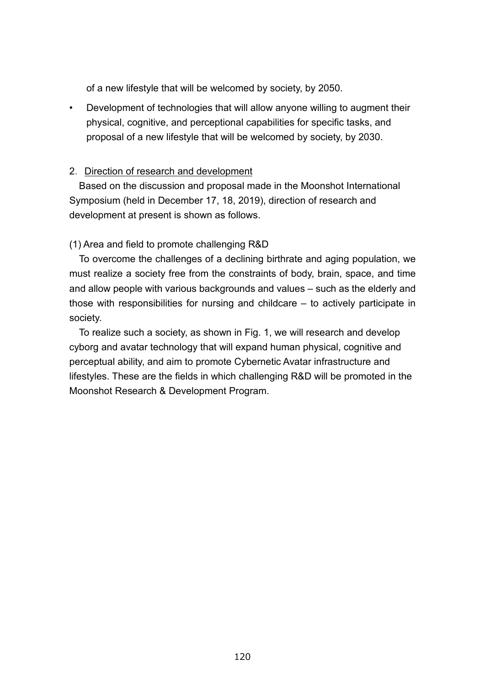of a new lifestyle that will be welcomed by society, by 2050.

• Development of technologies that will allow anyone willing to augment their physical, cognitive, and perceptional capabilities for specific tasks, and proposal of a new lifestyle that will be welcomed by society, by 2030.

## 2. Direction of research and development

Based on the discussion and proposal made in the Moonshot International Symposium (held in December 17, 18, 2019), direction of research and development at present is shown as follows.

## (1) Area and field to promote challenging R&D

To overcome the challenges of a declining birthrate and aging population, we must realize a society free from the constraints of body, brain, space, and time and allow people with various backgrounds and values – such as the elderly and those with responsibilities for nursing and childcare – to actively participate in society.

To realize such a society, as shown in Fig. 1, we will research and develop cyborg and avatar technology that will expand human physical, cognitive and perceptual ability, and aim to promote Cybernetic Avatar infrastructure and lifestyles. These are the fields in which challenging R&D will be promoted in the Moonshot Research & Development Program.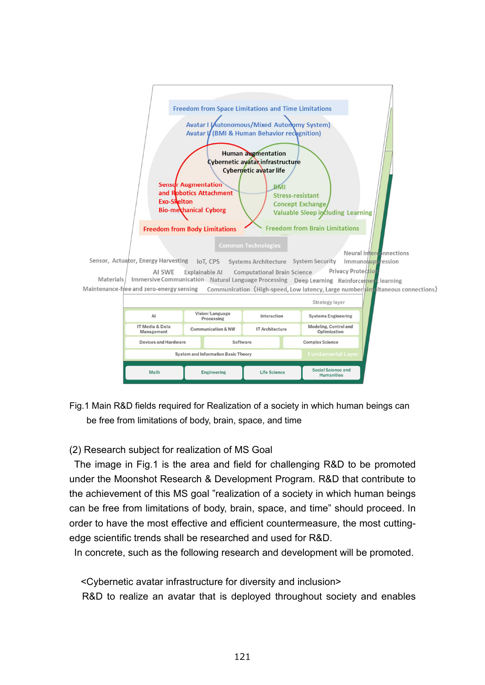

Fig.1 Main R&D fields required for Realization of a society in which human beings can be free from limitations of body, brain, space, and time

## (2) Research subject for realization of MS Goal

The image in Fig.1 is the area and field for challenging R&D to be promoted under the Moonshot Research & Development Program. R&D that contribute to the achievement of this MS goal "realization of a society in which human beings can be free from limitations of body, brain, space, and time" should proceed. In order to have the most effective and efficient countermeasure, the most cuttingedge scientific trends shall be researched and used for R&D.

In concrete, such as the following research and development will be promoted.

<Cybernetic avatar infrastructure for diversity and inclusion> R&D to realize an avatar that is deployed throughout society and enables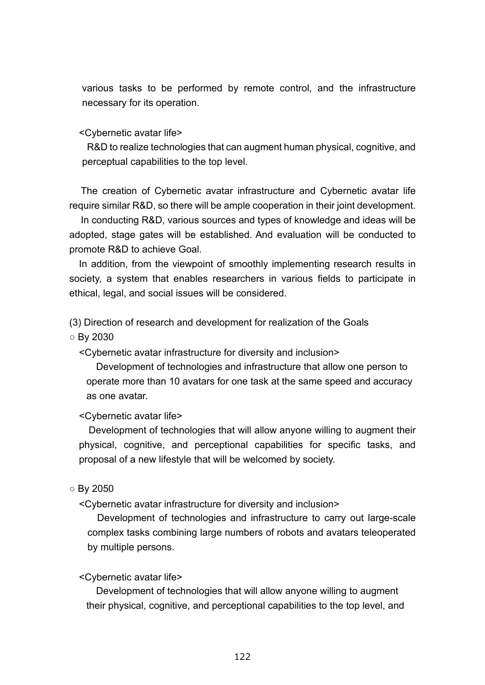various tasks to be performed by remote control, and the infrastructure necessary for its operation.

<Cybernetic avatar life>

R&D to realize technologies that can augment human physical, cognitive, and perceptual capabilities to the top level.

The creation of Cybernetic avatar infrastructure and Cybernetic avatar life require similar R&D, so there will be ample cooperation in their joint development.

In conducting R&D, various sources and types of knowledge and ideas will be adopted, stage gates will be established. And evaluation will be conducted to promote R&D to achieve Goal.

In addition, from the viewpoint of smoothly implementing research results in society, a system that enables researchers in various fields to participate in ethical, legal, and social issues will be considered.

(3) Direction of research and development for realization of the Goals

○ By 2030

<Cybernetic avatar infrastructure for diversity and inclusion>

Development of technologies and infrastructure that allow one person to operate more than 10 avatars for one task at the same speed and accuracy as one avatar.

<Cybernetic avatar life>

Development of technologies that will allow anyone willing to augment their physical, cognitive, and perceptional capabilities for specific tasks, and proposal of a new lifestyle that will be welcomed by society.

### $\circ$  By 2050

<Cybernetic avatar infrastructure for diversity and inclusion>

Development of technologies and infrastructure to carry out large-scale complex tasks combining large numbers of robots and avatars teleoperated by multiple persons.

#### <Cybernetic avatar life>

Development of technologies that will allow anyone willing to augment their physical, cognitive, and perceptional capabilities to the top level, and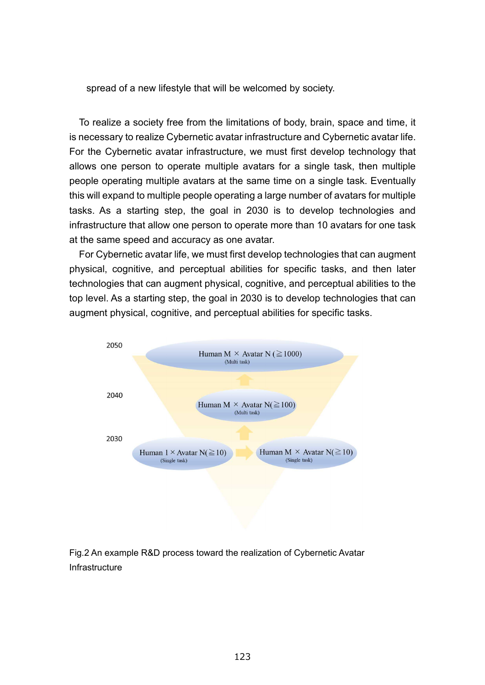spread of a new lifestyle that will be welcomed by society.

To realize a society free from the limitations of body, brain, space and time, it is necessary to realize Cybernetic avatar infrastructure and Cybernetic avatar life. For the Cybernetic avatar infrastructure, we must first develop technology that allows one person to operate multiple avatars for a single task, then multiple people operating multiple avatars at the same time on a single task. Eventually this will expand to multiple people operating a large number of avatars for multiple tasks. As a starting step, the goal in 2030 is to develop technologies and infrastructure that allow one person to operate more than 10 avatars for one task at the same speed and accuracy as one avatar.

For Cybernetic avatar life, we must first develop technologies that can augment physical, cognitive, and perceptual abilities for specific tasks, and then later technologies that can augment physical, cognitive, and perceptual abilities to the top level. As a starting step, the goal in 2030 is to develop technologies that can augment physical, cognitive, and perceptual abilities for specific tasks.



Fig.2 An example R&D process toward the realization of Cybernetic Avatar Infrastructure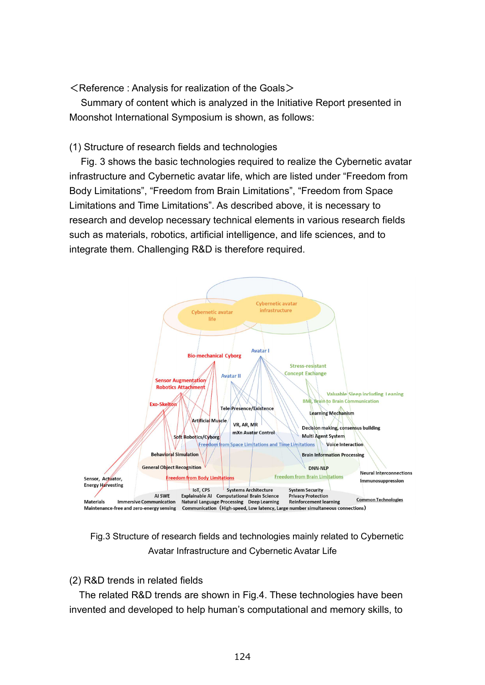$\leq$  Reference : Analysis for realization of the Goals  $\geq$ 

Summary of content which is analyzed in the Initiative Report presented in Moonshot International Symposium is shown, as follows:

## (1) Structure of research fields and technologies

Fig. 3 shows the basic technologies required to realize the Cybernetic avatar infrastructure and Cybernetic avatar life, which are listed under "Freedom from Body Limitations", "Freedom from Brain Limitations", "Freedom from Space Limitations and Time Limitations". As described above, it is necessary to research and develop necessary technical elements in various research fields such as materials, robotics, artificial intelligence, and life sciences, and to integrate them. Challenging R&D is therefore required.



Fig.3 Structure of research fields and technologies mainly related to Cybernetic Avatar Infrastructure and Cybernetic Avatar Life

(2) R&D trends in related fields

The related R&D trends are shown in Fig.4. These technologies have been invented and developed to help human's computational and memory skills, to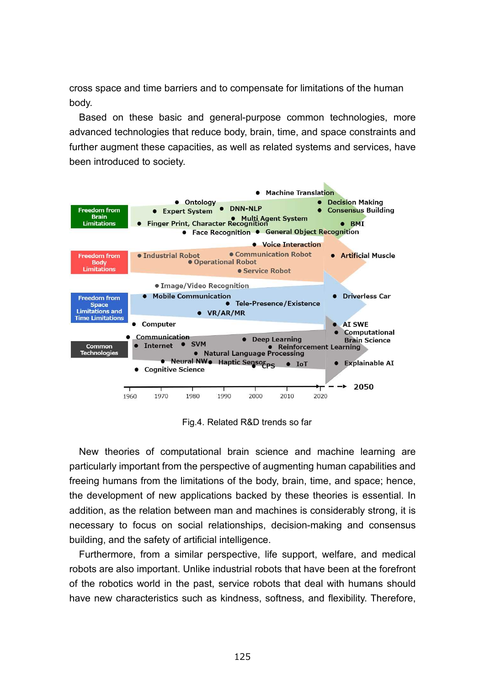cross space and time barriers and to compensate for limitations of the human body.

Based on these basic and general-purpose common technologies, more advanced technologies that reduce body, brain, time, and space constraints and further augment these capacities, as well as related systems and services, have been introduced to society.



Fig.4. Related R&D trends so far

New theories of computational brain science and machine learning are particularly important from the perspective of augmenting human capabilities and freeing humans from the limitations of the body, brain, time, and space; hence, the development of new applications backed by these theories is essential. In addition, as the relation between man and machines is considerably strong, it is necessary to focus on social relationships, decision-making and consensus building, and the safety of artificial intelligence.

Furthermore, from a similar perspective, life support, welfare, and medical robots are also important. Unlike industrial robots that have been at the forefront of the robotics world in the past, service robots that deal with humans should have new characteristics such as kindness, softness, and flexibility. Therefore,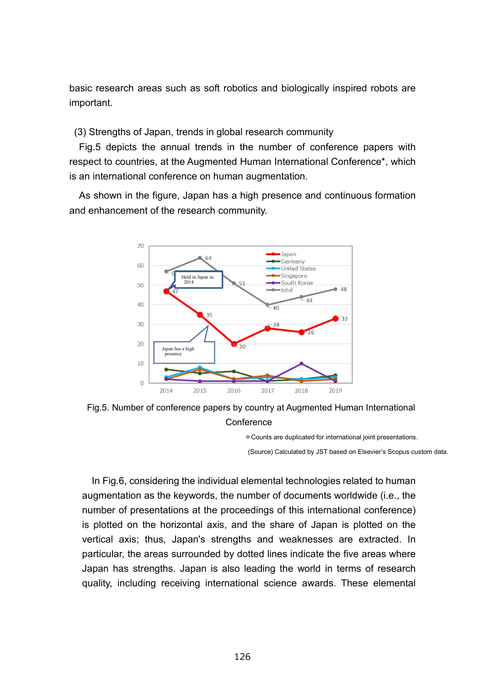basic research areas such as soft robotics and biologically inspired robots are important.

(3) Strengths of Japan, trends in global research community

Fig.5 depicts the annual trends in the number of conference papers with respect to countries, at the Augmented Human International Conference\*, which is an international conference on human augmentation.

As shown in the figure, Japan has a high presence and continuous formation and enhancement of the research community.



Fig.5. Number of conference papers by country at Augmented Human International **Conference** 

\*Counts are duplicated for international joint presentations.

(Source) Calculated by JST based on Elsevier's Scopus custom data.

In Fig.6, considering the individual elemental technologies related to human augmentation as the keywords, the number of documents worldwide (i.e., the number of presentations at the proceedings of this international conference) is plotted on the horizontal axis, and the share of Japan is plotted on the vertical axis; thus, Japan's strengths and weaknesses are extracted. In particular, the areas surrounded by dotted lines indicate the five areas where Japan has strengths. Japan is also leading the world in terms of research quality, including receiving international science awards. These elemental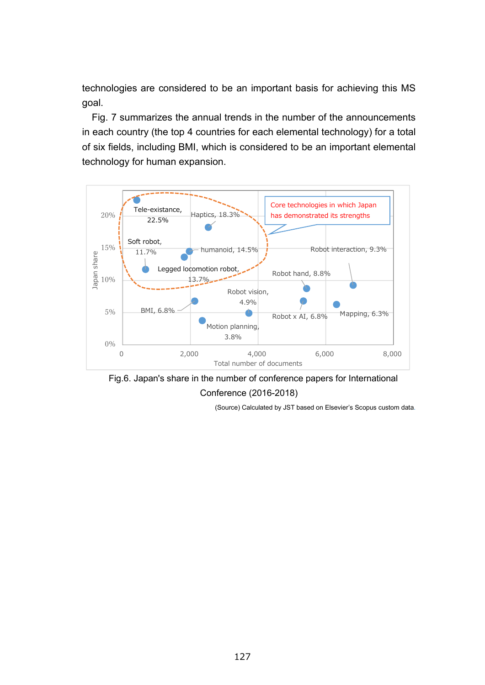technologies are considered to be an important basis for achieving this MS goal.

Fig. 7 summarizes the annual trends in the number of the announcements in each country (the top 4 countries for each elemental technology) for a total of six fields, including BMI, which is considered to be an important elemental technology for human expansion.





(Source) Calculated by JST based on Elsevier's Scopus custom data.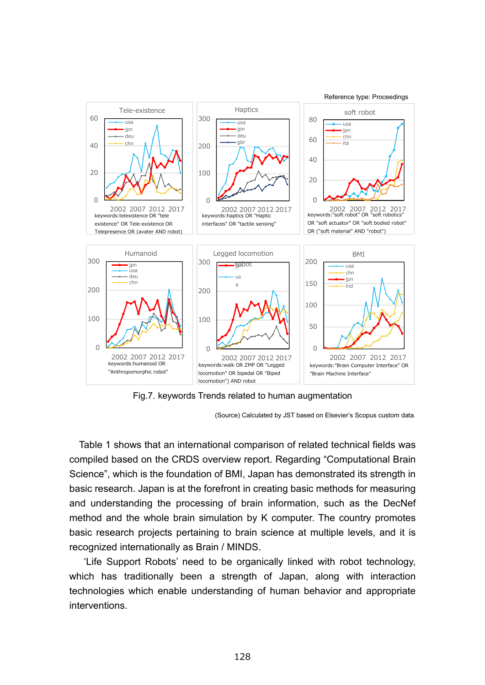

Fig.7. keywords Trends related to human augmentation

(Source) Calculated by JST based on Elsevier's Scopus custom data.

Table 1 shows that an international comparison of related technical fields was compiled based on the CRDS overview report. Regarding "Computational Brain Science", which is the foundation of BMI, Japan has demonstrated its strength in basic research. Japan is at the forefront in creating basic methods for measuring and understanding the processing of brain information, such as the DecNef method and the whole brain simulation by K computer. The country promotes basic research projects pertaining to brain science at multiple levels, and it is recognized internationally as Brain / MINDS.

'Life Support Robots' need to be organically linked with robot technology, which has traditionally been a strength of Japan, along with interaction technologies which enable understanding of human behavior and appropriate interventions.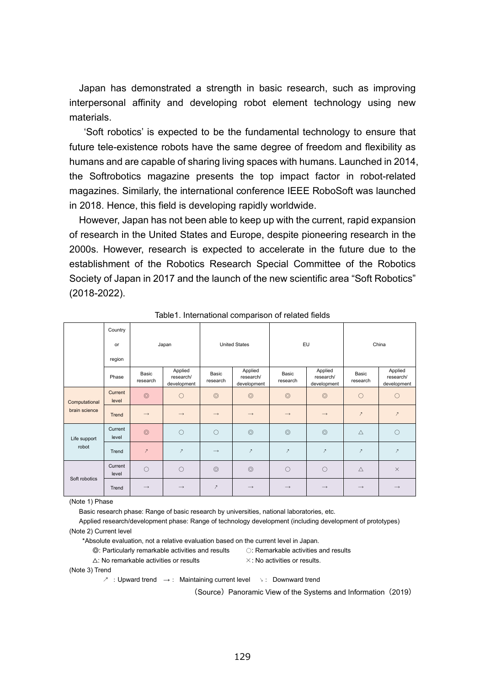Japan has demonstrated a strength in basic research, such as improving interpersonal affinity and developing robot element technology using new materials.

'Soft robotics' is expected to be the fundamental technology to ensure that future tele-existence robots have the same degree of freedom and flexibility as humans and are capable of sharing living spaces with humans. Launched in 2014, the Softrobotics magazine presents the top impact factor in robot-related magazines. Similarly, the international conference IEEE RoboSoft was launched in 2018. Hence, this field is developing rapidly worldwide.

However, Japan has not been able to keep up with the current, rapid expansion of research in the United States and Europe, despite pioneering research in the 2000s. However, research is expected to accelerate in the future due to the establishment of the Robotics Research Special Committee of the Robotics Society of Japan in 2017 and the launch of the new scientific area "Soft Robotics" (2018-2022).

|                                | Country          |                   |                                     |                      |                                     |                   |                                     |                   |                                     |
|--------------------------------|------------------|-------------------|-------------------------------------|----------------------|-------------------------------------|-------------------|-------------------------------------|-------------------|-------------------------------------|
|                                | or               | Japan             |                                     | <b>United States</b> |                                     | EU                |                                     | China             |                                     |
|                                | region           |                   |                                     |                      |                                     |                   |                                     |                   |                                     |
|                                | Phase            | Basic<br>research | Applied<br>research/<br>development | Basic<br>research    | Applied<br>research/<br>development | Basic<br>research | Applied<br>research/<br>development | Basic<br>research | Applied<br>research/<br>development |
| Computational<br>brain science | Current<br>level | $\circledcirc$    | $\circ$                             | $\circledcirc$       | $\circledcirc$                      | $\circledcirc$    | $\circledcirc$                      | $\circ$           | $\circ$                             |
|                                | Trend            | $\longrightarrow$ | $\rightarrow$                       | $\rightarrow$        | $\rightarrow$                       | $\longrightarrow$ | $\rightarrow$                       | $\mathcal{P}$     | $\mathcal I$                        |
| Life support<br>robot          | Current<br>level | $\circledcirc$    | $\circ$                             | $\circ$              | $\circledcirc$                      | $\circledcirc$    | $\circledcirc$                      | Δ                 | $\circ$                             |
|                                | Trend            | $\mathcal{P}$     | $\mathcal{P}$                       | $\longrightarrow$    | $\mathcal{P}$                       | $\mathcal{P}$     | $\mathcal{P}$                       | $\mathcal{P}$     | $\mathcal{P}$                       |
| Soft robotics                  | Current<br>level | $\bigcirc$        | $\circ$                             | $\circledcirc$       | $\circledcirc$                      | $\bigcirc$        | $\bigcirc$                          | $\triangle$       | $\times$                            |
|                                | Trend            | $\longrightarrow$ | $\rightarrow$                       | $\mathcal{P}$        | $\rightarrow$                       | $\longrightarrow$ | $\rightarrow$                       | $\rightarrow$     | $\rightarrow$                       |

Table1. International comparison of related fields

(Note 1) Phase

Basic research phase: Range of basic research by universities, national laboratories, etc.

Applied research/development phase: Range of technology development (including development of prototypes) (Note 2) Current level

\*Absolute evaluation, not a relative evaluation based on the current level in Japan.

◎: Particularly remarkable activities and results 〇: Remarkable activities and results

 $\triangle$ : No remarkable activities or results  $\times$ : No activities or results.

(Note 3) Trend

↗ :Upward trend →: Maintaining current level ↘: Downward trend

(Source) Panoramic View of the Systems and Information (2019)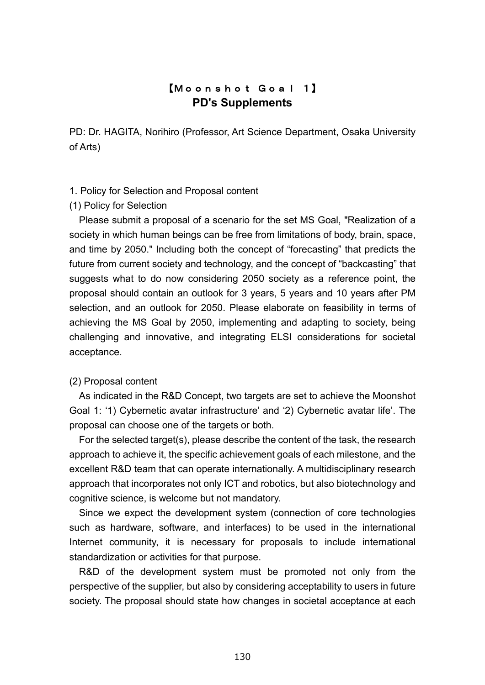## 【Moonshot Goal 1】 **PD's Supplements**

PD: Dr. HAGITA, Norihiro (Professor, Art Science Department, Osaka University of Arts)

### 1. Policy for Selection and Proposal content

### (1) Policy for Selection

Please submit a proposal of a scenario for the set MS Goal, "Realization of a society in which human beings can be free from limitations of body, brain, space, and time by 2050." Including both the concept of "forecasting" that predicts the future from current society and technology, and the concept of "backcasting" that suggests what to do now considering 2050 society as a reference point, the proposal should contain an outlook for 3 years, 5 years and 10 years after PM selection, and an outlook for 2050. Please elaborate on feasibility in terms of achieving the MS Goal by 2050, implementing and adapting to society, being challenging and innovative, and integrating ELSI considerations for societal acceptance.

### (2) Proposal content

As indicated in the R&D Concept, two targets are set to achieve the Moonshot Goal 1: '1) Cybernetic avatar infrastructure' and '2) Cybernetic avatar life'. The proposal can choose one of the targets or both.

For the selected target(s), please describe the content of the task, the research approach to achieve it, the specific achievement goals of each milestone, and the excellent R&D team that can operate internationally. A multidisciplinary research approach that incorporates not only ICT and robotics, but also biotechnology and cognitive science, is welcome but not mandatory.

Since we expect the development system (connection of core technologies such as hardware, software, and interfaces) to be used in the international Internet community, it is necessary for proposals to include international standardization or activities for that purpose.

R&D of the development system must be promoted not only from the perspective of the supplier, but also by considering acceptability to users in future society. The proposal should state how changes in societal acceptance at each